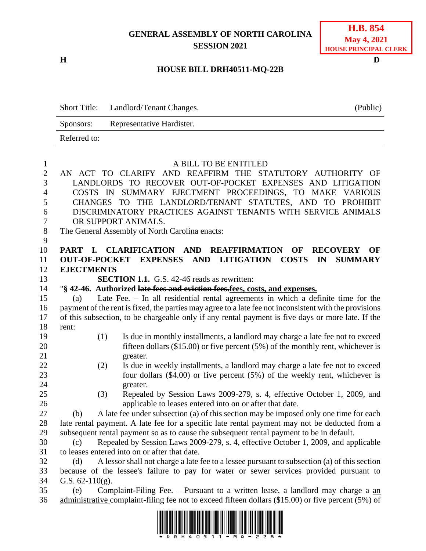## **GENERAL ASSEMBLY OF NORTH CAROLINA SESSION 2021**

**H D**

## **H.B. 854 May 4, 2021 HOUSE PRINCIPAL CLERK**

## **HOUSE BILL DRH40511-MQ-22B**

|              | Short Title: Landlord/Tenant Changes. | (Public) |
|--------------|---------------------------------------|----------|
| Sponsors:    | Representative Hardister.             |          |
| Referred to: |                                       |          |

| $\mathbf{1}$   | A BILL TO BE ENTITLED                                                                                  |
|----------------|--------------------------------------------------------------------------------------------------------|
| $\mathbf{2}$   | AN ACT TO CLARIFY AND REAFFIRM THE STATUTORY AUTHORITY OF                                              |
| 3              | LANDLORDS TO RECOVER OUT-OF-POCKET EXPENSES AND LITIGATION                                             |
| $\overline{4}$ | COSTS IN SUMMARY EJECTMENT PROCEEDINGS, TO MAKE VARIOUS                                                |
| 5              | CHANGES TO THE LANDLORD/TENANT STATUTES, AND TO PROHIBIT                                               |
| 6              | DISCRIMINATORY PRACTICES AGAINST TENANTS WITH SERVICE ANIMALS                                          |
| 7              | OR SUPPORT ANIMALS.                                                                                    |
| $8\,$          | The General Assembly of North Carolina enacts:                                                         |
| 9              |                                                                                                        |
| 10             | <b>CLARIFICATION AND REAFFIRMATION</b><br>PART I.<br>OF<br><b>RECOVERY</b><br>OF                       |
| 11             | <b>COSTS</b><br>OUT-OF-POCKET EXPENSES AND LITIGATION<br>IN<br><b>SUMMARY</b>                          |
| 12             | <b>EJECTMENTS</b>                                                                                      |
| 13             | <b>SECTION 1.1.</b> G.S. 42-46 reads as rewritten:                                                     |
| 14             | "§ 42-46. Authorized late fees and eviction fees.fees, costs, and expenses.                            |
| 15             | <u>Late Fee. – In</u> all residential rental agreements in which a definite time for the<br>(a)        |
| 16             | payment of the rent is fixed, the parties may agree to a late fee not inconsistent with the provisions |
| 17             | of this subsection, to be chargeable only if any rental payment is five days or more late. If the      |
| 18             | rent:                                                                                                  |
| 19             | Is due in monthly installments, a landlord may charge a late fee not to exceed<br>(1)                  |
| 20             | fifteen dollars $(\$15.00)$ or five percent $(5%)$ of the monthly rent, whichever is                   |
| 21             | greater.                                                                                               |
| 22             | Is due in weekly installments, a landlord may charge a late fee not to exceed<br>(2)                   |
| 23             | four dollars $(\$4.00)$ or five percent $(5%)$ of the weekly rent, whichever is                        |
| 24             | greater.                                                                                               |
| 25             | Repealed by Session Laws 2009-279, s. 4, effective October 1, 2009, and<br>(3)                         |
| 26             | applicable to leases entered into on or after that date.                                               |
| 27             | A late fee under subsection (a) of this section may be imposed only one time for each<br>(b)           |
| 28             | late rental payment. A late fee for a specific late rental payment may not be deducted from a          |
| 29             | subsequent rental payment so as to cause the subsequent rental payment to be in default.               |
| 30             | Repealed by Session Laws 2009-279, s. 4, effective October 1, 2009, and applicable<br>(c)              |
| 31             | to leases entered into on or after that date.                                                          |
| 32             | A lessor shall not charge a late fee to a lessee pursuant to subsection (a) of this section<br>(d)     |
| 33             | because of the lessee's failure to pay for water or sewer services provided pursuant to                |
| 34             | G.S. $62-110(g)$ .                                                                                     |
| 35             | Complaint-Filing Fee. – Pursuant to a written lease, a landlord may charge $a$ -an<br>(e)              |
| 36             | administrative complaint-filing fee not to exceed fifteen dollars (\$15.00) or five percent (5%) of    |

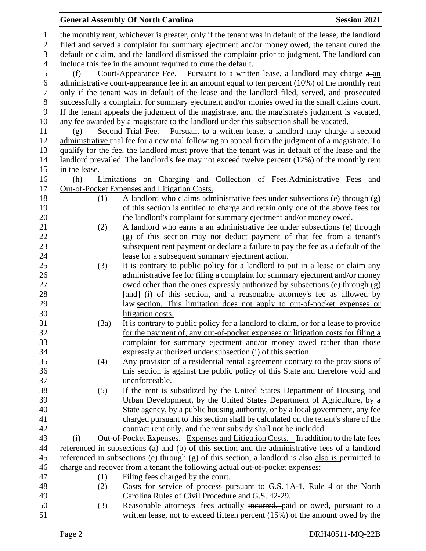**General Assembly Of North Carolina Session 2021** 

- written lease, not to exceed fifteen percent (15%) of the amount owed by the
	- Page 2 DRH40511-MQ-22B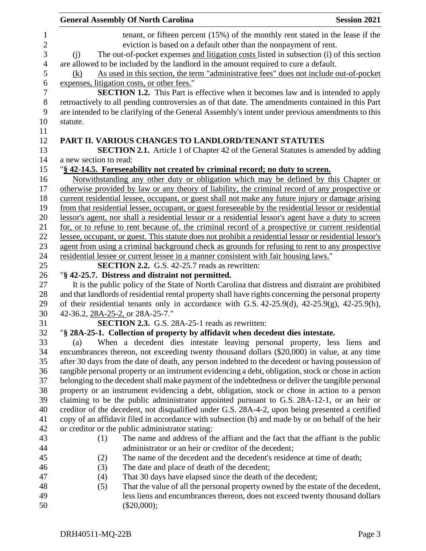|                | <b>General Assembly Of North Carolina</b>                                                                                                                               | <b>Session 2021</b> |
|----------------|-------------------------------------------------------------------------------------------------------------------------------------------------------------------------|---------------------|
| 1              | tenant, or fifteen percent (15%) of the monthly rent stated in the lease if the                                                                                         |                     |
| $\sqrt{2}$     | eviction is based on a default other than the nonpayment of rent.                                                                                                       |                     |
| 3              | The out-of-pocket expenses and litigation costs listed in subsection (i) of this section<br>(i)                                                                         |                     |
| $\overline{4}$ | are allowed to be included by the landlord in the amount required to cure a default.                                                                                    |                     |
| 5              | As used in this section, the term "administrative fees" does not include out-of-pocket<br>(k)                                                                           |                     |
| 6              | expenses, litigation costs, or other fees."                                                                                                                             |                     |
| $\overline{7}$ | <b>SECTION 1.2.</b> This Part is effective when it becomes law and is intended to apply                                                                                 |                     |
| $8\,$          | retroactively to all pending controversies as of that date. The amendments contained in this Part                                                                       |                     |
| 9              | are intended to be clarifying of the General Assembly's intent under previous amendments to this                                                                        |                     |
| 10             | statute.                                                                                                                                                                |                     |
| 11             |                                                                                                                                                                         |                     |
| 12             | PART II. VARIOUS CHANGES TO LANDLORD/TENANT STATUTES                                                                                                                    |                     |
| 13             | <b>SECTION 2.1.</b> Article 1 of Chapter 42 of the General Statutes is amended by adding                                                                                |                     |
| 14             | a new section to read:                                                                                                                                                  |                     |
| 15             | "§ 42-14.5. Foreseeability not created by criminal record; no duty to screen.                                                                                           |                     |
| 16             | Notwithstanding any other duty or obligation which may be defined by this Chapter or                                                                                    |                     |
| 17             | otherwise provided by law or any theory of liability, the criminal record of any prospective or                                                                         |                     |
| 18             | current residential lessee, occupant, or guest shall not make any future injury or damage arising                                                                       |                     |
| 19             | from that residential lessee, occupant, or guest foreseeable by the residential lessor or residential                                                                   |                     |
| 20             | lessor's agent, nor shall a residential lessor or a residential lessor's agent have a duty to screen                                                                    |                     |
| 21             | for, or to refuse to rent because of, the criminal record of a prospective or current residential                                                                       |                     |
| 22             | lessee, occupant, or guest. This statute does not prohibit a residential lessor or residential lessor's                                                                 |                     |
| 23             | agent from using a criminal background check as grounds for refusing to rent to any prospective                                                                         |                     |
| 24             | residential lessee or current lessee in a manner consistent with fair housing laws."                                                                                    |                     |
| 25             | <b>SECTION 2.2.</b> G.S. 42-25.7 reads as rewritten:                                                                                                                    |                     |
| 26             | "§ 42-25.7. Distress and distraint not permitted.                                                                                                                       |                     |
| 27             | It is the public policy of the State of North Carolina that distress and distraint are prohibited                                                                       |                     |
| 28             | and that landlords of residential rental property shall have rights concerning the personal property                                                                    |                     |
| 29             | of their residential tenants only in accordance with G.S. 42-25.9(d), 42-25.9(g), 42-25.9(h),                                                                           |                     |
| 30             | 42-36.2, 28A-25-2, or 28A-25-7."                                                                                                                                        |                     |
| 31             | <b>SECTION 2.3.</b> G.S. 28A-25-1 reads as rewritten:                                                                                                                   |                     |
| 32             | "§ 28A-25-1. Collection of property by affidavit when decedent dies intestate.                                                                                          |                     |
| 33             | When a decedent dies intestate leaving personal property, less liens and<br>(a)                                                                                         |                     |
| 34             | encumbrances thereon, not exceeding twenty thousand dollars (\$20,000) in value, at any time                                                                            |                     |
| 35             | after 30 days from the date of death, any person indebted to the decedent or having possession of                                                                       |                     |
| 36             | tangible personal property or an instrument evidencing a debt, obligation, stock or chose in action                                                                     |                     |
| 37             | belonging to the decedent shall make payment of the indebtedness or deliver the tangible personal                                                                       |                     |
| 38             | property or an instrument evidencing a debt, obligation, stock or chose in action to a person                                                                           |                     |
| 39             | claiming to be the public administrator appointed pursuant to G.S. 28A-12-1, or an heir or                                                                              |                     |
| 40             | creditor of the decedent, not disqualified under G.S. 28A-4-2, upon being presented a certified                                                                         |                     |
| 41             | copy of an affidavit filed in accordance with subsection (b) and made by or on behalf of the heir                                                                       |                     |
| 42             | or creditor or the public administrator stating:                                                                                                                        |                     |
| 43             | (1)<br>The name and address of the affiant and the fact that the affiant is the public                                                                                  |                     |
| 44             | administrator or an heir or creditor of the decedent;                                                                                                                   |                     |
| 45             | (2)<br>The name of the decedent and the decedent's residence at time of death;                                                                                          |                     |
| 46             | (3)<br>The date and place of death of the decedent;                                                                                                                     |                     |
| 47<br>48       | That 30 days have elapsed since the death of the decedent;<br>(4)                                                                                                       |                     |
| 49             | That the value of all the personal property owned by the estate of the decedent,<br>(5)<br>less liens and encumbrances thereon, does not exceed twenty thousand dollars |                     |
| 50             | $(\$20,000);$                                                                                                                                                           |                     |
|                |                                                                                                                                                                         |                     |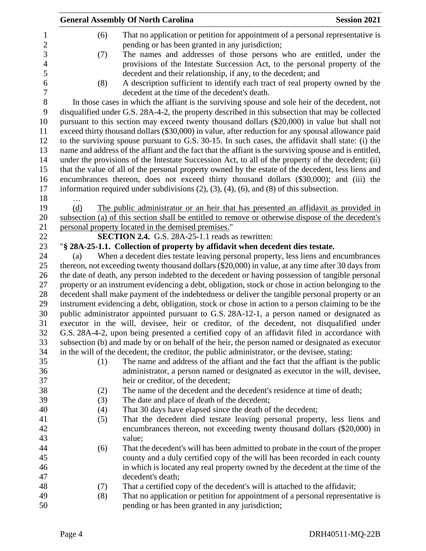|                  |     | <b>General Assembly Of North Carolina</b>                                                                                                                                                       | <b>Session 2021</b> |
|------------------|-----|-------------------------------------------------------------------------------------------------------------------------------------------------------------------------------------------------|---------------------|
| 1<br>2           | (6) | That no application or petition for appointment of a personal representative is<br>pending or has been granted in any jurisdiction;                                                             |                     |
| 3<br>4           | (7) | The names and addresses of those persons who are entitled, under the<br>provisions of the Intestate Succession Act, to the personal property of the                                             |                     |
| 5<br>6<br>$\tau$ | (8) | decedent and their relationship, if any, to the decedent; and<br>A description sufficient to identify each tract of real property owned by the<br>decedent at the time of the decedent's death. |                     |
| 8                |     | In those cases in which the affiant is the surviving spouse and sole heir of the decedent, not                                                                                                  |                     |
| 9                |     | disqualified under G.S. 28A-4-2, the property described in this subsection that may be collected                                                                                                |                     |
| 10               |     | pursuant to this section may exceed twenty thousand dollars (\$20,000) in value but shall not                                                                                                   |                     |
| 11               |     | exceed thirty thousand dollars (\$30,000) in value, after reduction for any spousal allowance paid                                                                                              |                     |
| 12               |     | to the surviving spouse pursuant to G.S. 30-15. In such cases, the affidavit shall state: (i) the                                                                                               |                     |
| 13               |     | name and address of the affiant and the fact that the affiant is the surviving spouse and is entitled,                                                                                          |                     |
| 14               |     | under the provisions of the Intestate Succession Act, to all of the property of the decedent; (ii)                                                                                              |                     |
| 15               |     | that the value of all of the personal property owned by the estate of the decedent, less liens and                                                                                              |                     |
| 16               |     | encumbrances thereon, does not exceed thirty thousand dollars (\$30,000); and (iii) the                                                                                                         |                     |
| 17               |     | information required under subdivisions $(2)$ , $(3)$ , $(4)$ , $(6)$ , and $(8)$ of this subsection.                                                                                           |                     |
| 18               |     |                                                                                                                                                                                                 |                     |
| 19               | (d) | The public administrator or an heir that has presented an affidavit as provided in                                                                                                              |                     |
| 20               |     | subsection (a) of this section shall be entitled to remove or otherwise dispose of the decedent's                                                                                               |                     |
| 21               |     | personal property located in the demised premises."                                                                                                                                             |                     |
| 22               |     | SECTION 2.4. G.S. 28A-25-1.1 reads as rewritten:                                                                                                                                                |                     |
| 23               |     | "§ 28A-25-1.1. Collection of property by affidavit when decedent dies testate.                                                                                                                  |                     |
| 24<br>25         | (a) | When a decedent dies testate leaving personal property, less liens and encumbrances<br>thereon, not exceeding twenty thousand dollars (\$20,000) in value, at any time after 30 days from       |                     |
| 26               |     | the date of death, any person indebted to the decedent or having possession of tangible personal                                                                                                |                     |
| 27               |     | property or an instrument evidencing a debt, obligation, stock or chose in action belonging to the                                                                                              |                     |
| 28               |     | decedent shall make payment of the indebtedness or deliver the tangible personal property or an                                                                                                 |                     |
| 29               |     | instrument evidencing a debt, obligation, stock or chose in action to a person claiming to be the                                                                                               |                     |
| 30               |     | public administrator appointed pursuant to G.S. 28A-12-1, a person named or designated as                                                                                                       |                     |
| 31               |     | executor in the will, devisee, heir or creditor, of the decedent, not disqualified under                                                                                                        |                     |
| 32               |     | G.S. 28A-4-2, upon being presented a certified copy of an affidavit filed in accordance with                                                                                                    |                     |
| 33               |     | subsection (b) and made by or on behalf of the heir, the person named or designated as executor                                                                                                 |                     |
| 34               |     | in the will of the decedent, the creditor, the public administrator, or the devisee, stating:                                                                                                   |                     |
| 35               | (1) | The name and address of the affiant and the fact that the affiant is the public                                                                                                                 |                     |
| 36               |     | administrator, a person named or designated as executor in the will, devisee,                                                                                                                   |                     |
| 37               |     | heir or creditor, of the decedent;                                                                                                                                                              |                     |
| 38               | (2) | The name of the decedent and the decedent's residence at time of death;                                                                                                                         |                     |
| 39               | (3) | The date and place of death of the decedent;                                                                                                                                                    |                     |
| 40               | (4) | That 30 days have elapsed since the death of the decedent;                                                                                                                                      |                     |
| 41               | (5) | That the decedent died testate leaving personal property, less liens and                                                                                                                        |                     |
| 42               |     | encumbrances thereon, not exceeding twenty thousand dollars (\$20,000) in                                                                                                                       |                     |
| 43               |     | value;                                                                                                                                                                                          |                     |
| 44               | (6) | That the decedent's will has been admitted to probate in the court of the proper                                                                                                                |                     |
| 45               |     | county and a duly certified copy of the will has been recorded in each county                                                                                                                   |                     |
| 46               |     | in which is located any real property owned by the decedent at the time of the                                                                                                                  |                     |
| 47               |     | decedent's death;                                                                                                                                                                               |                     |
| 48               | (7) | That a certified copy of the decedent's will is attached to the affidavit;                                                                                                                      |                     |
| 49<br>50         | (8) | That no application or petition for appointment of a personal representative is<br>pending or has been granted in any jurisdiction;                                                             |                     |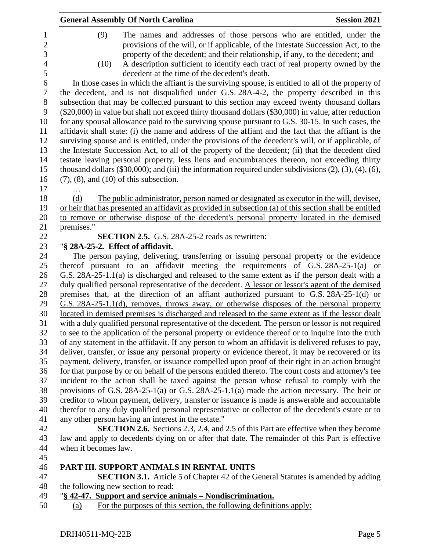| <b>General Assembly Of North Carolina</b>                                                                                                                                                                                                                                                                                                                                                    | <b>Session 2021</b> |
|----------------------------------------------------------------------------------------------------------------------------------------------------------------------------------------------------------------------------------------------------------------------------------------------------------------------------------------------------------------------------------------------|---------------------|
| (9)<br>The names and addresses of those persons who are entitled, under the<br>provisions of the will, or if applicable, of the Intestate Succession Act, to the<br>property of the decedent; and their relationship, if any, to the decedent; and<br>A description sufficient to identify each tract of real property owned by the<br>(10)<br>decedent at the time of the decedent's death. |                     |
| In those cases in which the affiant is the surviving spouse, is entitled to all of the property of<br>the decedent, and is not disqualified under G.S. 28A-4-2, the property described in this                                                                                                                                                                                               |                     |
| subsection that may be collected pursuant to this section may exceed twenty thousand dollars<br>(\$20,000) in value but shall not exceed thirty thousand dollars (\$30,000) in value, after reduction                                                                                                                                                                                        |                     |
| for any spousal allowance paid to the surviving spouse pursuant to G.S. 30-15. In such cases, the<br>affidavit shall state: (i) the name and address of the affiant and the fact that the affiant is the                                                                                                                                                                                     |                     |
| surviving spouse and is entitled, under the provisions of the decedent's will, or if applicable, of                                                                                                                                                                                                                                                                                          |                     |
| the Intestate Succession Act, to all of the property of the decedent; (ii) that the decedent died                                                                                                                                                                                                                                                                                            |                     |
| testate leaving personal property, less liens and encumbrances thereon, not exceeding thirty<br>thousand dollars $(\$30,000)$ ; and (iii) the information required under subdivisions $(2)$ , $(3)$ , $(4)$ , $(6)$ ,                                                                                                                                                                        |                     |
| $(7)$ , $(8)$ , and $(10)$ of this subsection.                                                                                                                                                                                                                                                                                                                                               |                     |
| .                                                                                                                                                                                                                                                                                                                                                                                            |                     |
| The public administrator, person named or designated as executor in the will, devised,<br>(d)                                                                                                                                                                                                                                                                                                |                     |
| or heir that has presented an affidavit as provided in subsection (a) of this section shall be entitled<br>to remove or otherwise dispose of the decedent's personal property located in the demised                                                                                                                                                                                         |                     |
| premises."                                                                                                                                                                                                                                                                                                                                                                                   |                     |
| <b>SECTION 2.5.</b> G.S. 28A-25-2 reads as rewritten:                                                                                                                                                                                                                                                                                                                                        |                     |
| "§ 28A-25-2. Effect of affidavit.                                                                                                                                                                                                                                                                                                                                                            |                     |
| The person paying, delivering, transferring or issuing personal property or the evidence                                                                                                                                                                                                                                                                                                     |                     |
| thereof pursuant to an affidavit meeting the requirements of $G.S. 28A-25-1(a)$ or                                                                                                                                                                                                                                                                                                           |                     |
| G.S. 28A-25-1.1(a) is discharged and released to the same extent as if the person dealt with a                                                                                                                                                                                                                                                                                               |                     |
| duly qualified personal representative of the decedent. A lessor or lessor's agent of the demised<br>premises that, at the direction of an affiant authorized pursuant to G.S. 28A-25-1(d) or                                                                                                                                                                                                |                     |
| G.S. 28A-25-1.1(d), removes, throws away, or otherwise disposes of the personal property                                                                                                                                                                                                                                                                                                     |                     |
| located in demised premises is discharged and released to the same extent as if the lessor dealt                                                                                                                                                                                                                                                                                             |                     |
| with a duly qualified personal representative of the decedent. The person or lessor is not required                                                                                                                                                                                                                                                                                          |                     |
| to see to the application of the personal property or evidence thereof or to inquire into the truth                                                                                                                                                                                                                                                                                          |                     |
| of any statement in the affidavit. If any person to whom an affidavit is delivered refuses to pay,                                                                                                                                                                                                                                                                                           |                     |
| deliver, transfer, or issue any personal property or evidence thereof, it may be recovered or its                                                                                                                                                                                                                                                                                            |                     |
| payment, delivery, transfer, or issuance compelled upon proof of their right in an action brought                                                                                                                                                                                                                                                                                            |                     |
| for that purpose by or on behalf of the persons entitled thereto. The court costs and attorney's fee                                                                                                                                                                                                                                                                                         |                     |
| incident to the action shall be taxed against the person whose refusal to comply with the                                                                                                                                                                                                                                                                                                    |                     |
| provisions of G.S. $28A-25-1(a)$ or G.S. $28A-25-1.1(a)$ made the action necessary. The heir or                                                                                                                                                                                                                                                                                              |                     |
| creditor to whom payment, delivery, transfer or issuance is made is answerable and accountable                                                                                                                                                                                                                                                                                               |                     |
| therefor to any duly qualified personal representative or collector of the decedent's estate or to                                                                                                                                                                                                                                                                                           |                     |
| any other person having an interest in the estate."<br><b>SECTION 2.6.</b> Sections 2.3, 2.4, and 2.5 of this Part are effective when they become                                                                                                                                                                                                                                            |                     |
| law and apply to decedents dying on or after that date. The remainder of this Part is effective                                                                                                                                                                                                                                                                                              |                     |
| when it becomes law.                                                                                                                                                                                                                                                                                                                                                                         |                     |
|                                                                                                                                                                                                                                                                                                                                                                                              |                     |
| PART III. SUPPORT ANIMALS IN RENTAL UNITS                                                                                                                                                                                                                                                                                                                                                    |                     |

 **SECTION 3.1.** Article 5 of Chapter 42 of the General Statutes is amended by adding 48 the following new section to read:<br>49  $\frac{18}{5}$  42-47. Support and service and

- "**§ 42-47. Support and service animals – Nondiscrimination.**
- (a) For the purposes of this section, the following definitions apply: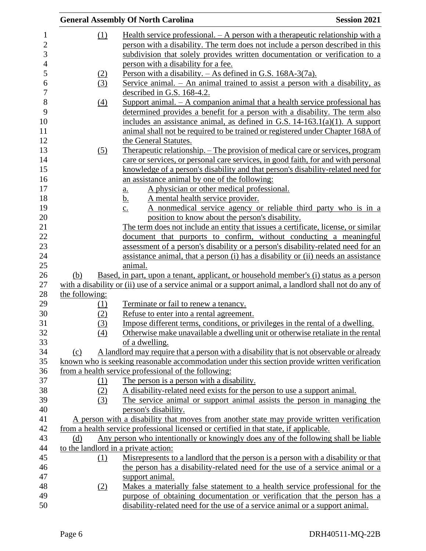|                | <b>General Assembly Of North Carolina</b>                                                             | <b>Session 2021</b> |
|----------------|-------------------------------------------------------------------------------------------------------|---------------------|
|                | Health service professional. $- A$ person with a therapeutic relationship with a<br>(1)               |                     |
|                | person with a disability. The term does not include a person described in this                        |                     |
|                | subdivision that solely provides written documentation or verification to a                           |                     |
|                | person with a disability for a fee.                                                                   |                     |
|                | Person with a disability. $-$ As defined in G.S. 168A-3(7a).<br>(2)                                   |                     |
|                | (3)<br>Service animal. $-$ An animal trained to assist a person with a disability, as                 |                     |
|                | described in G.S. 168-4.2.                                                                            |                     |
|                | Support animal. $- A$ companion animal that a health service professional has<br>$\left(4\right)$     |                     |
|                | determined provides a benefit for a person with a disability. The term also                           |                     |
|                | includes an assistance animal, as defined in G.S. $14-163.1(a)(1)$ . A support                        |                     |
|                | animal shall not be required to be trained or registered under Chapter 168A of                        |                     |
|                | the General Statutes.                                                                                 |                     |
|                | <u>Therapeutic relationship. – The provision of medical care or services, program</u><br>(5)          |                     |
|                | care or services, or personal care services, in good faith, for and with personal                     |                     |
|                | knowledge of a person's disability and that person's disability-related need for                      |                     |
|                | an assistance animal by one of the following:                                                         |                     |
|                | A physician or other medical professional.<br><u>a.</u>                                               |                     |
|                | A mental health service provider.<br><u>b.</u>                                                        |                     |
|                | A nonmedical service agency or reliable third party who is in a<br>$\underline{c}$ .                  |                     |
|                | position to know about the person's disability.                                                       |                     |
|                | The term does not include an entity that issues a certificate, license, or similar                    |                     |
|                | document that purports to confirm, without conducting a meaningful                                    |                     |
|                | assessment of a person's disability or a person's disability-related need for an                      |                     |
|                | assistance animal, that a person (i) has a disability or (ii) needs an assistance                     |                     |
|                | animal.                                                                                               |                     |
| (b)            | Based, in part, upon a tenant, applicant, or household member's (i) status as a person                |                     |
|                | with a disability or (ii) use of a service animal or a support animal, a landlord shall not do any of |                     |
| the following: |                                                                                                       |                     |
|                | Terminate or fail to renew a tenancy.<br>(1)                                                          |                     |
|                | (2)<br>Refuse to enter into a rental agreement.                                                       |                     |
|                | (3)<br>Impose different terms, conditions, or privileges in the rental of a dwelling.                 |                     |
|                | Otherwise make unavailable a dwelling unit or otherwise retaliate in the rental<br>(4)                |                     |
|                | of a dwelling.                                                                                        |                     |
| (c)            | A landlord may require that a person with a disability that is not observable or already              |                     |
|                | known who is seeking reasonable accommodation under this section provide written verification         |                     |
|                | from a health service professional of the following:                                                  |                     |
|                | The person is a person with a disability.<br>(1)                                                      |                     |
|                | A disability-related need exists for the person to use a support animal.<br>(2)                       |                     |
|                | The service animal or support animal assists the person in managing the<br>(3)                        |                     |
|                | person's disability.                                                                                  |                     |
|                | A person with a disability that moves from another state may provide written verification             |                     |
|                | from a health service professional licensed or certified in that state, if applicable.                |                     |
| (d)            | Any person who intentionally or knowingly does any of the following shall be liable                   |                     |
|                | to the landlord in a private action:                                                                  |                     |
|                | Misrepresents to a landlord that the person is a person with a disability or that<br>(1)              |                     |
|                | the person has a disability-related need for the use of a service animal or a                         |                     |
|                | support animal.                                                                                       |                     |
|                | Makes a materially false statement to a health service professional for the<br>(2)                    |                     |
|                | purpose of obtaining documentation or verification that the person has a                              |                     |
|                | disability-related need for the use of a service animal or a support animal.                          |                     |